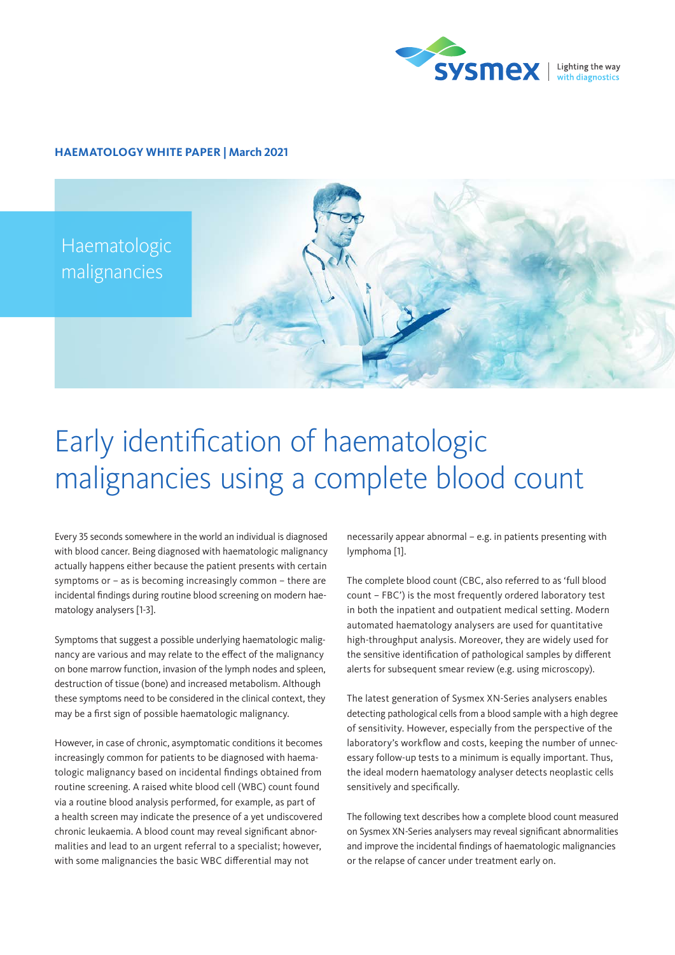

## **HAEMATOLOGY WHITE PAPER | March 2021**

Haematologic malignancies

# Early identification of haematologic malignancies using a complete blood count

Every 35 seconds somewhere in the world an individual is diagnosed with blood cancer. Being diagnosed with haematologic malignancy actually happens either because the patient presents with certain symptoms or – as is becoming increasingly common – there are incidental findings during routine blood screening on modern haematology analysers [1-3].

Symptoms that suggest a possible underlying haematologic malignancy are various and may relate to the effect of the malignancy on bone marrow function, invasion of the lymph nodes and spleen, destruction of tissue (bone) and increased metabolism. Although these symptoms need to be considered in the clinical context, they may be a first sign of possible haematologic malignancy.

However, in case of chronic, asymptomatic conditions it becomes increasingly common for patients to be diagnosed with haematologic malignancy based on incidental findings obtained from routine screening. A raised white blood cell (WBC) count found via a routine blood analysis performed, for example, as part of a health screen may indicate the presence of a yet undiscovered chronic leukaemia. A blood count may reveal significant abnormalities and lead to an urgent referral to a specialist; however, with some malignancies the basic WBC differential may not

necessarily appear abnormal – e.g. in patients presenting with lymphoma [1].

The complete blood count (CBC, also referred to as 'full blood count – FBC') is the most frequently ordered laboratory test in both the inpatient and outpatient medical setting. Modern automated haematology analysers are used for quantitative high-throughput analysis. Moreover, they are widely used for the sensitive identification of pathological samples by different alerts for subsequent smear review (e.g. using microscopy).

The latest generation of Sysmex XN-Series analysers enables detecting pathological cells from a blood sample with a high degree of sensitivity. However, especially from the perspective of the laboratory's workflow and costs, keeping the number of unnecessary follow-up tests to a minimum is equally important. Thus, the ideal modern haematology analyser detects neoplastic cells sensitively and specifically.

The following text describes how a complete blood count measured on Sysmex XN-Series analysers may reveal significant abnormalities and improve the incidental findings of haematologic malignancies or the relapse of cancer under treatment early on.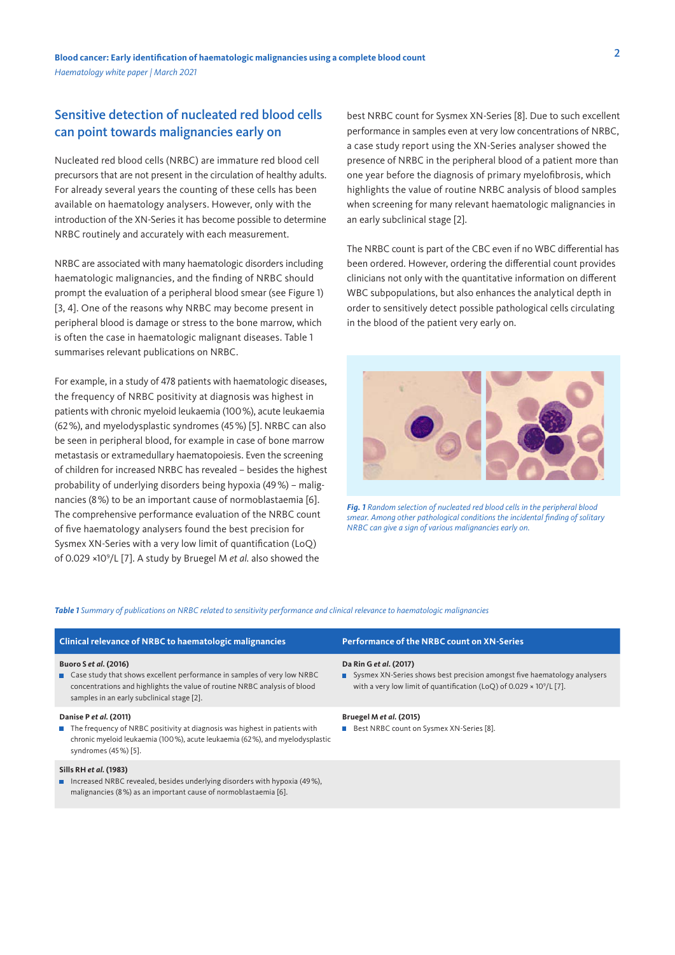# Sensitive detection of nucleated red blood cells can point towards malignancies early on

Nucleated red blood cells (NRBC) are immature red blood cell precursors that are not present in the circulation of healthy adults. For already several years the counting of these cells has been available on haematology analysers. However, only with the introduction of the XN-Series it has become possible to determine NRBC routinely and accurately with each measurement.

NRBC are associated with many haematologic disorders including haematologic malignancies, and the finding of NRBC should prompt the evaluation of a peripheral blood smear (see Figure 1) [3, 4]. One of the reasons why NRBC may become present in peripheral blood is damage or stress to the bone marrow, which is often the case in haematologic malignant diseases. Table 1 summarises relevant publications on NRBC.

For example, in a study of 478 patients with haematologic diseases, the frequency of NRBC positivity at diagnosis was highest in patients with chronic myeloid leukaemia (100%), acute leukaemia (62%), and myelodysplastic syndromes (45%) [5]. NRBC can also be seen in peripheral blood, for example in case of bone marrow metastasis or extramedullary haematopoiesis. Even the screening of children for increased NRBC has revealed – besides the highest probability of underlying disorders being hypoxia (49%) – malignancies (8%) to be an important cause of normoblastaemia [6]. The comprehensive performance evaluation of the NRBC count of five haematology analysers found the best precision for Sysmex XN-Series with a very low limit of quantification (LoQ) of 0.029 ×109 /L [7]. A study by Bruegel M *et al.* also showed the

best NRBC count for Sysmex XN-Series [8]. Due to such excellent performance in samples even at very low concentrations of NRBC, a case study report using the XN-Series analyser showed the presence of NRBC in the peripheral blood of a patient more than one year before the diagnosis of primary myelofibrosis, which highlights the value of routine NRBC analysis of blood samples when screening for many relevant haematologic malignancies in an early subclinical stage [2].

The NRBC count is part of the CBC even if no WBC differential has been ordered. However, ordering the differential count provides clinicians not only with the quantitative information on different WBC subpopulations, but also enhances the analytical depth in order to sensitively detect possible pathological cells circulating in the blood of the patient very early on.



*Fig. 1 Random selection of nucleated red blood cells in the peripheral blood smear. Among other pathological conditions the incidental finding of solitary NRBC can give a sign of various malignancies early on.*

#### *Table 1 Summary of publications on NRBC related to sensitivity performance and clinical relevance to haematologic malignancies*

| <b>Clinical relevance of NRBC to haematologic malignancies</b>                                                                                                                                                                | Performance of the NRBC count on XN-Series                                                                                                                                                      |
|-------------------------------------------------------------------------------------------------------------------------------------------------------------------------------------------------------------------------------|-------------------------------------------------------------------------------------------------------------------------------------------------------------------------------------------------|
| Buoro S et al. (2016)<br>■ Case study that shows excellent performance in samples of very low NRBC<br>concentrations and highlights the value of routine NRBC analysis of blood<br>samples in an early subclinical stage [2]. | Da Rin G et al. (2017)<br>■ Sysmex XN-Series shows best precision amongst five haematology analysers<br>with a very low limit of quantification (LoQ) of 0.029 $\times$ 10 <sup>9</sup> /L [7]. |
| Danise P et al. (2011)<br>The frequency of NRBC positivity at diagnosis was highest in patients with<br>chronic myeloid leukaemia (100%), acute leukaemia (62%), and myelodysplastic<br>syndromes (45%) [5].                  | Bruegel M et al. (2015)<br><b>Best NRBC count on Sysmex XN-Series [8].</b>                                                                                                                      |
| Sills RH et al. (1983)<br>■ Increased NRBC revealed, besides underlying disorders with hypoxia (49%),<br>malignancies (8%) as an important cause of normoblastaemia [6].                                                      |                                                                                                                                                                                                 |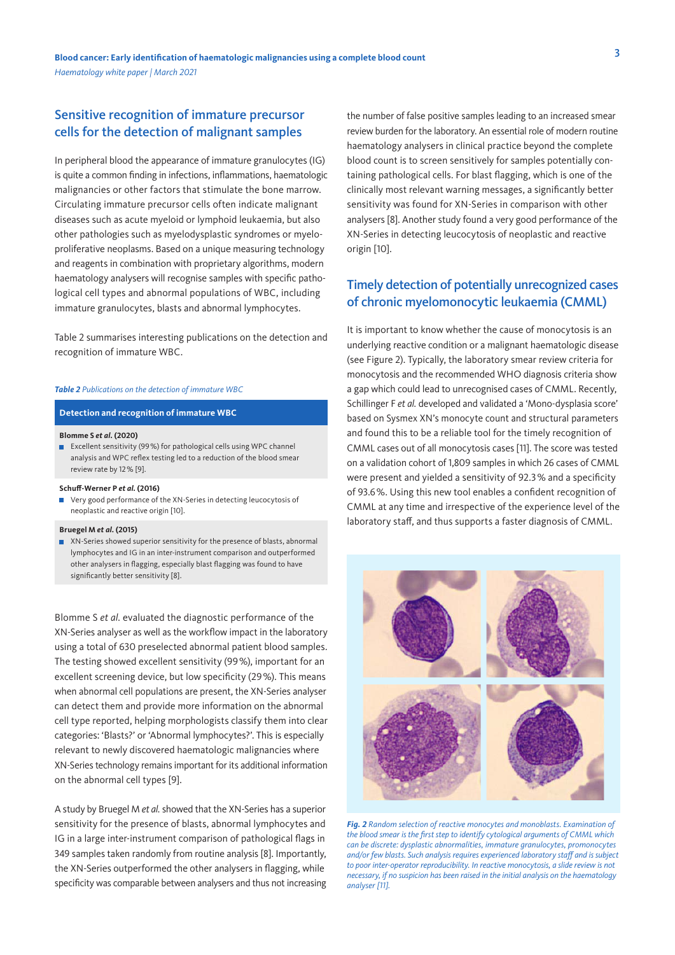## Sensitive recognition of immature precursor cells for the detection of malignant samples

In peripheral blood the appearance of immature granulocytes (IG) is quite a common finding in infections, inflammations, haematologic malignancies or other factors that stimulate the bone marrow. Circulating immature precursor cells often indicate malignant diseases such as acute myeloid or lymphoid leukaemia, but also other pathologies such as myelodysplastic syndromes or myeloproliferative neoplasms. Based on a unique measuring technology and reagents in combination with proprietary algorithms, modern haematology analysers will recognise samples with specific pathological cell types and abnormal populations of WBC, including immature granulocytes, blasts and abnormal lymphocytes.

Table 2 summarises interesting publications on the detection and recognition of immature WBC.

#### *Table 2 Publications on the detection of immature WBC*

#### **Detection and recognition of immature WBC**

#### **Blomme S** *et al.* **(2020)**

 Excellent sensitivity (99%) for pathological cells using WPC channel analysis and WPC reflex testing led to a reduction of the blood smear review rate by 12% [9].

#### **Schuff-Werner P** *et al.* **(2016)**

 Very good performance of the XN-Series in detecting leucocytosis of neoplastic and reactive origin [10].

#### **Bruegel M** *et al.* **(2015)**

 XN-Series showed superior sensitivity for the presence of blasts, abnormal lymphocytes and IG in an inter-instrument comparison and outperformed other analysers in flagging, especially blast flagging was found to have significantly better sensitivity [8].

Blomme S *et al.* evaluated the diagnostic performance of the XN-Series analyser as well as the workflow impact in the laboratory using a total of 630 preselected abnormal patient blood samples. The testing showed excellent sensitivity (99%), important for an excellent screening device, but low specificity (29%). This means when abnormal cell populations are present, the XN-Series analyser can detect them and provide more information on the abnormal cell type reported, helping morphologists classify them into clear categories: 'Blasts?' or 'Abnormal lymphocytes?'. This is especially relevant to newly discovered haematologic malignancies where XN-Series technology remains important for its additional information on the abnormal cell types [9].

A study by Bruegel M *et al.* showed that the XN-Series has a superior sensitivity for the presence of blasts, abnormal lymphocytes and IG in a large inter-instrument comparison of pathological flags in 349 samples taken randomly from routine analysis [8]. Importantly, the XN-Series outperformed the other analysers in flagging, while specificity was comparable between analysers and thus not increasing the number of false positive samples leading to an increased smear review burden for the laboratory. An essential role of modern routine haematology analysers in clinical practice beyond the complete blood count is to screen sensitively for samples potentially containing pathological cells. For blast flagging, which is one of the clinically most relevant warning messages, a significantly better sensitivity was found for XN-Series in comparison with other analysers [8]. Another study found a very good performance of the XN-Series in detecting leucocytosis of neoplastic and reactive origin [10].

# Timely detection of potentially unrecognized cases of chronic myelomonocytic leukaemia (CMML)

It is important to know whether the cause of monocytosis is an underlying reactive condition or a malignant haematologic disease (see Figure 2). Typically, the laboratory smear review criteria for monocytosis and the recommended WHO diagnosis criteria show a gap which could lead to unrecognised cases of CMML. Recently, Schillinger F *et al.* developed and validated a 'Mono-dysplasia score' based on Sysmex XN's monocyte count and structural parameters and found this to be a reliable tool for the timely recognition of CMML cases out of all monocytosis cases [11]. The score was tested on a validation cohort of 1,809 samples in which 26 cases of CMML were present and yielded a sensitivity of 92.3% and a specificity of 93.6%. Using this new tool enables a confident recognition of CMML at any time and irrespective of the experience level of the laboratory staff, and thus supports a faster diagnosis of CMML.



*Fig. 2 Random selection of reactive monocytes and monoblasts. Examination of the blood smear is the first step to identify cytological arguments of CMML which can be discrete: dysplastic abnormalities, immature granulocytes, promonocytes and/or few blasts. Such analysis requires experienced laboratory staff and is subject to poor inter-operator reproducibility. In reactive monocytosis, a slide review is not necessary, if no suspicion has been raised in the initial analysis on the haematology analyser [11].*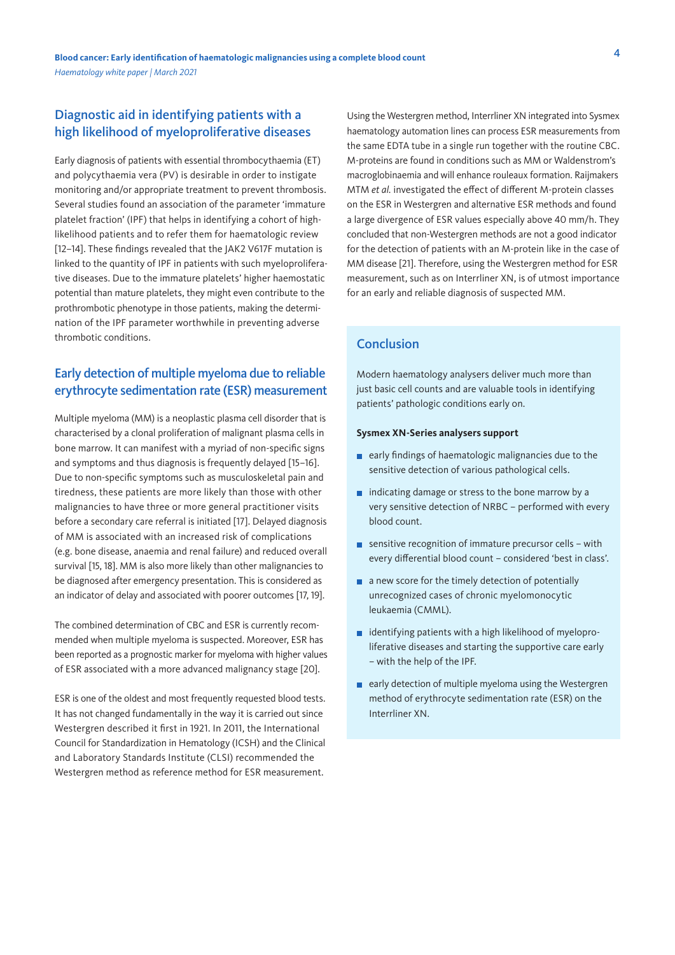## Diagnostic aid in identifying patients with a high likelihood of myeloproliferative diseases

Early diagnosis of patients with essential thrombocythaemia (ET) and polycythaemia vera (PV) is desirable in order to instigate monitoring and/or appropriate treatment to prevent thrombosis. Several studies found an association of the parameter 'immature platelet fraction' (IPF) that helps in identifying a cohort of highlikelihood patients and to refer them for haematologic review [12–14]. These findings revealed that the JAK2 V617F mutation is linked to the quantity of IPF in patients with such myeloproliferative diseases. Due to the immature platelets' higher haemostatic potential than mature platelets, they might even contribute to the prothrombotic phenotype in those patients, making the determination of the IPF parameter worthwhile in preventing adverse thrombotic conditions.

# Early detection of multiple myeloma due to reliable erythrocyte sedimentation rate (ESR) measurement

Multiple myeloma (MM) is a neoplastic plasma cell disorder that is characterised by a clonal proliferation of malignant plasma cells in bone marrow. It can manifest with a myriad of non-specific signs and symptoms and thus diagnosis is frequently delayed [15–16]. Due to non-specific symptoms such as musculoskeletal pain and tiredness, these patients are more likely than those with other malignancies to have three or more general practitioner visits before a secondary care referral is initiated [17]. Delayed diagnosis of MM is associated with an increased risk of complications (e.g. bone disease, anaemia and renal failure) and reduced overall survival [15, 18]. MM is also more likely than other malignancies to be diagnosed after emergency presentation. This is considered as an indicator of delay and associated with poorer outcomes [17, 19].

The combined determination of CBC and ESR is currently recommended when multiple myeloma is suspected. Moreover, ESR has been reported as a prognostic marker for myeloma with higher values of ESR associated with a more advanced malignancy stage [20].

ESR is one of the oldest and most frequently requested blood tests. It has not changed fundamentally in the way it is carried out since Westergren described it first in 1921. In 2011, the International Council for Standardization in Hematology (ICSH) and the Clinical and Laboratory Standards Institute (CLSI) recommended the Westergren method as reference method for ESR measurement.

Using the Westergren method, Interrliner XN integrated into Sysmex haematology automation lines can process ESR measurements from the same EDTA tube in a single run together with the routine CBC. M-proteins are found in conditions such as MM or Waldenstrom's macroglobinaemia and will enhance rouleaux formation. Raijmakers MTM *et al.* investigated the effect of different M-protein classes on the ESR in Westergren and alternative ESR methods and found a large divergence of ESR values especially above 40 mm/h. They concluded that non-Westergren methods are not a good indicator for the detection of patients with an M-protein like in the case of MM disease [21]. Therefore, using the Westergren method for ESR measurement, such as on Interrliner XN, is of utmost importance for an early and reliable diagnosis of suspected MM.

# Conclusion

Modern haematology analysers deliver much more than just basic cell counts and are valuable tools in identifying patients' pathologic conditions early on.

### **Sysmex XN-Series analysers support**

- $\blacksquare$  early findings of haematologic malignancies due to the sensitive detection of various pathological cells.
- $\blacksquare$  indicating damage or stress to the bone marrow by a very sensitive detection of NRBC – performed with every blood count.
- **EX SENSITE:** sensitive recognition of immature precursor cells with every differential blood count – considered 'best in class'.
- **a** a new score for the timely detection of potentially unrecognized cases of chronic myelomonocytic leukaemia (CMML).
- $\blacksquare$  identifying patients with a high likelihood of myeloproliferative diseases and starting the supportive care early – with the help of the IPF.
- **E** early detection of multiple myeloma using the Westergren method of erythrocyte sedimentation rate (ESR) on the Interrliner XN.